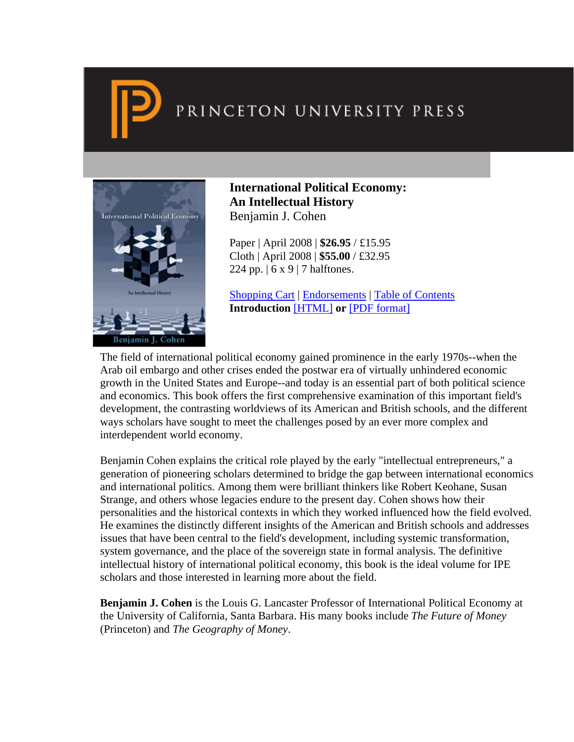

# PRINCETON UNIVERSITY PRESS



**International Political Economy: An Intellectual History**  Benjamin J. Cohen

Paper | April 2008 | **\$26.95** / £15.95 Cloth | April 2008 | **\$55.00** / £32.95 224 pp.  $(6 \times 9)$  7 halftones.

Shopping Cart | Endorsements | Table of Contents **Introduction** [\[HTML\]](http://press.princeton.edu/chapters/i8665.html) **or** [\[PDF format\]](http://press.princeton.edu/chapters/i8665.pdf)

The field of international political economy gained prominence in the early 1970s--when the Arab oil embargo and other crises ended the postwar era of virtually unhindered economic growth in the United States and Europe--and today is an essential part of both political science and economics. This book offers the first comprehensive examination of this important field's development, the contrasting worldviews of its American and British schools, and the different ways scholars have sought to meet the challenges posed by an ever more complex and interdependent world economy.

Benjamin Cohen explains the critical role played by the early "intellectual entrepreneurs," a generation of pioneering scholars determined to bridge the gap between international economics and international politics. Among them were brilliant thinkers like Robert Keohane, Susan Strange, and others whose legacies endure to the present day. Cohen shows how their personalities and the historical contexts in which they worked influenced how the field evolved. He examines the distinctly different insights of the American and British schools and addresses issues that have been central to the field's development, including systemic transformation, system governance, and the place of the sovereign state in formal analysis. The definitive intellectual history of international political economy, this book is the ideal volume for IPE scholars and those interested in learning more about the field.

**Benjamin J. Cohen** is the Louis G. Lancaster Professor of International Political Economy at the University of California, Santa Barbara. His many books include *The Future of Money* (Princeton) and *The Geography of Money*.